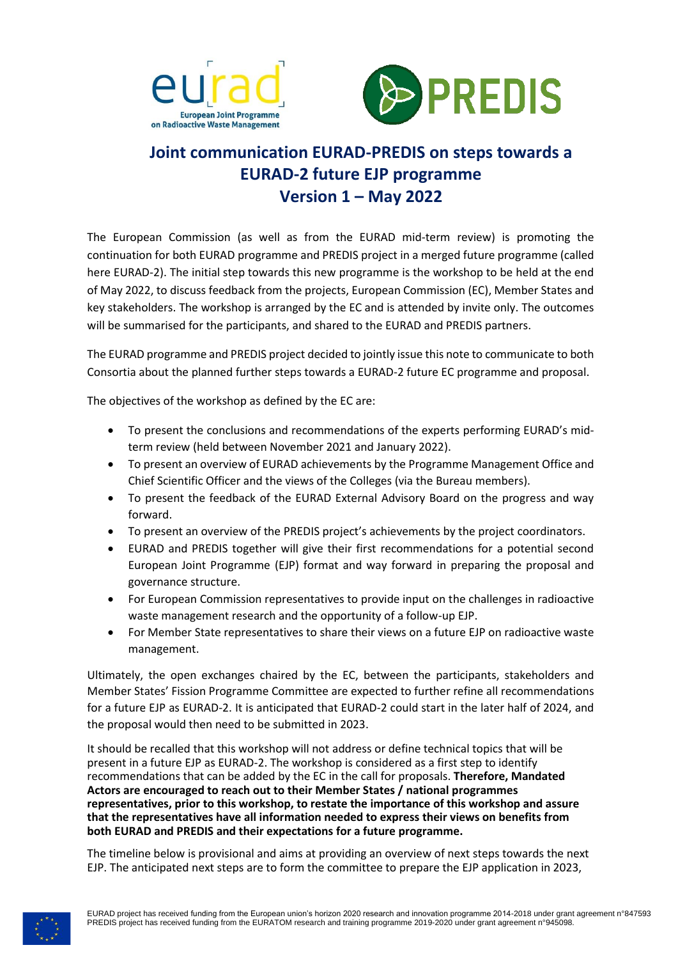



## **Joint communication EURAD-PREDIS on steps towards a EURAD-2 future EJP programme Version 1 – May 2022**

The European Commission (as well as from the EURAD mid-term review) is promoting the continuation for both EURAD programme and PREDIS project in a merged future programme (called here EURAD-2). The initial step towards this new programme is the workshop to be held at the end of May 2022, to discuss feedback from the projects, European Commission (EC), Member States and key stakeholders. The workshop is arranged by the EC and is attended by invite only. The outcomes will be summarised for the participants, and shared to the EURAD and PREDIS partners.

The EURAD programme and PREDIS project decided to jointly issue this note to communicate to both Consortia about the planned further steps towards a EURAD-2 future EC programme and proposal.

The objectives of the workshop as defined by the EC are:

- To present the conclusions and recommendations of the experts performing EURAD's midterm review (held between November 2021 and January 2022).
- To present an overview of EURAD achievements by the Programme Management Office and Chief Scientific Officer and the views of the Colleges (via the Bureau members).
- To present the feedback of the EURAD External Advisory Board on the progress and way forward.
- To present an overview of the PREDIS project's achievements by the project coordinators.
- EURAD and PREDIS together will give their first recommendations for a potential second European Joint Programme (EJP) format and way forward in preparing the proposal and governance structure.
- For European Commission representatives to provide input on the challenges in radioactive waste management research and the opportunity of a follow-up EJP.
- For Member State representatives to share their views on a future EJP on radioactive waste management.

Ultimately, the open exchanges chaired by the EC, between the participants, stakeholders and Member States' Fission Programme Committee are expected to further refine all recommendations for a future EJP as EURAD-2. It is anticipated that EURAD-2 could start in the later half of 2024, and the proposal would then need to be submitted in 2023.

It should be recalled that this workshop will not address or define technical topics that will be present in a future EJP as EURAD-2. The workshop is considered as a first step to identify recommendations that can be added by the EC in the call for proposals. **Therefore, Mandated Actors are encouraged to reach out to their Member States / national programmes representatives, prior to this workshop, to restate the importance of this workshop and assure that the representatives have all information needed to express their views on benefits from both EURAD and PREDIS and their expectations for a future programme.** 

The timeline below is provisional and aims at providing an overview of next steps towards the next EJP. The anticipated next steps are to form the committee to prepare the EJP application in 2023,